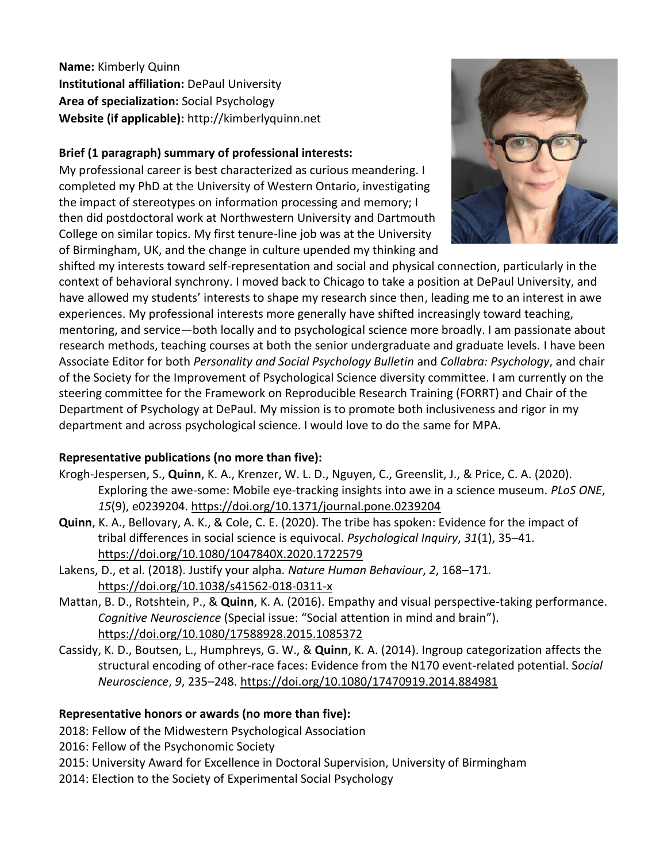**Name:** Kimberly Quinn **Institutional affiliation:** DePaul University **Area of specialization:** Social Psychology **Website (if applicable):** http://kimberlyquinn.net

## **Brief (1 paragraph) summary of professional interests:**

My professional career is best characterized as curious meandering. I completed my PhD at the University of Western Ontario, investigating the impact of stereotypes on information processing and memory; I then did postdoctoral work at Northwestern University and Dartmouth College on similar topics. My first tenure-line job was at the University of Birmingham, UK, and the change in culture upended my thinking and



shifted my interests toward self-representation and social and physical connection, particularly in the context of behavioral synchrony. I moved back to Chicago to take a position at DePaul University, and have allowed my students' interests to shape my research since then, leading me to an interest in awe experiences. My professional interests more generally have shifted increasingly toward teaching, mentoring, and service—both locally and to psychological science more broadly. I am passionate about research methods, teaching courses at both the senior undergraduate and graduate levels. I have been Associate Editor for both *Personality and Social Psychology Bulletin* and *Collabra: Psychology*, and chair of the Society for the Improvement of Psychological Science diversity committee. I am currently on the steering committee for the Framework on Reproducible Research Training (FORRT) and Chair of the Department of Psychology at DePaul. My mission is to promote both inclusiveness and rigor in my department and across psychological science. I would love to do the same for MPA.

## **Representative publications (no more than five):**

- Krogh-Jespersen, S., **Quinn**, K. A., Krenzer, W. L. D., Nguyen, C., Greenslit, J., & Price, C. A. (2020). Exploring the awe-some: Mobile eye-tracking insights into awe in a science museum. *PLoS ONE*, *15*(9), e0239204.<https://doi.org/10.1371/journal.pone.0239204>
- **Quinn**, K. A., Bellovary, A. K., & Cole, C. E. (2020). The tribe has spoken: Evidence for the impact of tribal differences in social science is equivocal. *Psychological Inquiry*, *31*(1), 35–41. <https://doi.org/10.1080/1047840X.2020.1722579>
- Lakens, D., et al. (2018). Justify your alpha. *Nature Human Behaviour*, *2*, 168–171*.* <https://doi.org/10.1038/s41562-018-0311-x>
- Mattan, B. D., Rotshtein, P., & **Quinn**, K. A. (2016). Empathy and visual perspective-taking performance. *Cognitive Neuroscience* (Special issue: "Social attention in mind and brain"). <https://doi.org/10.1080/17588928.2015.1085372>
- Cassidy, K. D., Boutsen, L., Humphreys, G. W., & **Quinn**, K. A. (2014). Ingroup categorization affects the structural encoding of other-race faces: Evidence from the N170 event-related potential. S*ocial Neuroscience*, *9*, 235–248. <https://doi.org/10.1080/17470919.2014.884981>

## **Representative honors or awards (no more than five):**

2018: Fellow of the Midwestern Psychological Association

2016: Fellow of the Psychonomic Society

- 2015: University Award for Excellence in Doctoral Supervision, University of Birmingham
- 2014: Election to the Society of Experimental Social Psychology